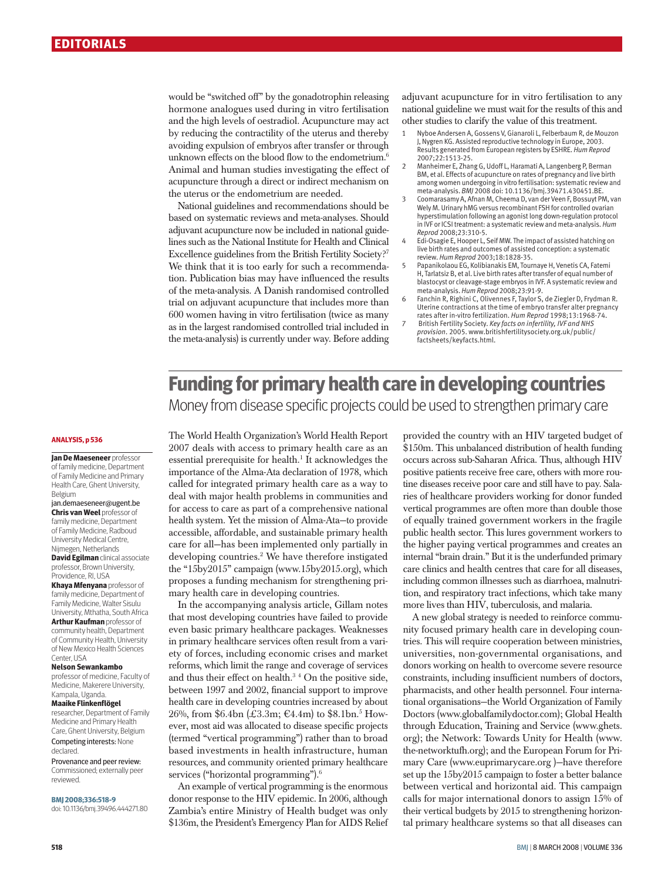would be "switched off" by the gonadotrophin releasing hormone analogues used during in vitro fertilisation and the high levels of oestradiol. Acupuncture may act by reducing the contractility of the uterus and thereby avoiding expulsion of embryos after transfer or through unknown effects on the blood flow to the endometrium.<sup>6</sup> Animal and human studies investigating the effect of acupuncture through a direct or indirect mechanism on the uterus or the endometrium are needed.

National guidelines and recommendations should be based on systematic reviews and meta-analyses. Should adjuvant acupuncture now be included in national guidelines such as the National Institute for Health and Clinical Excellence guidelines from the British Fertility Society?<sup>7</sup> We think that it is too early for such a recommendation. Publication bias may have influenced the results of the meta-analysis. A Danish randomised controlled trial on adjuvant acupuncture that includes more than 600 women having in vitro fertilisation (twice as many as in the largest randomised controlled trial included in the meta-analysis) is currently under way. Before adding adjuvant acupuncture for in vitro fertilisation to any national guideline we must wait for the results of this and other studies to clarify the value of this treatment.

- 1 Nyboe Andersen A, Gossens V, Gianaroli L, Felberbaum R, de Mouzon J, Nygren KG. Assisted reproductive technology in Europe, 2003. Results generated from European registers by ESHRE. *Hum Reprod* 2007;22:1513-25.
- 2 Manheimer E, Zhang G, Udoff L, Haramati A, Langenberg P, Berman BM, et al. Effects of acupuncture on rates of pregnancy and live birth among women undergoing in vitro fertilisation: systematic review and meta-analysis. *BMJ* 2008 doi: 10.1136/bmj.39471.430451.BE.
- 3 Coomarasamy A, Afnan M, Cheema D, van der Veen F, Bossuyt PM, van Wely M. Urinary hMG versus recombinant FSH for controlled ovarian hyperstimulation following an agonist long down-regulation protocol in IVF or ICSI treatment: a systematic review and meta-analysis. *Hum Reprod* 2008;23:310-5.
- 4 Edi-Osagie E, Hooper L, Seif MW. The impact of assisted hatching on live birth rates and outcomes of assisted conception: a systematic review. *Hum Reprod* 2003;18:1828-35.
- 5 Papanikolaou EG, Kolibianakis EM, Tournaye H, Venetis CA, Fatemi H, Tarlatsiz B, et al. Live birth rates after transfer of equal number of blastocyst or cleavage-stage embryos in IVF. A systematic review and meta-analysis. *Hum Reprod* 2008;23:91-9.
- 6 Fanchin R, Righini C, Olivennes F, Taylor S, de Ziegler D, Frydman R. Uterine contractions at the time of embryo transfer alter pregnancy rates after in-vitro fertilization. *Hum Reprod* 1998;13:1968-74.
- 7 British Fertility Society. *Key facts on infertility, IVF and NHS provision*. 2005. www.britishfertilitysociety.org.uk/public/ factsheets/keyfacts.html.

## **Funding for primary health care in developing countries** Money from disease specific projects could be used to strengthen primary care

#### **ANALYSIS, p 536**

**Jan De Maeseneer** professor of family medicine, Department of Family Medicine and Primary Health Care, Ghent University, Belgium

#### jan.demaeseneer@ugent.be **Chris van Weel** professor of

family medicine, Department of Family Medicine, Radboud University Medical Centre, Nijmegen, Netherlands **David Egilman** clinical associate professor, Brown University,

#### Providence, RI, USA **Khaya Mfenyana** professor of

family medicine, Department of Family Medicine, Walter Sisulu University, Mthatha, South Africa **Arthur Kaufman** professor of community health, Department of Community Health, University of New Mexico Health Sciences

#### Center, USA **Nelson Sewankambo**

professor of medicine, Faculty of Medicine, Makerere University, Kampala, Uganda.

#### **Maaike Flinkenflögel**

researcher, Department of Family Medicine and Primary Health Care, Ghent University, Belgium Competing interests: None declared.

Provenance and peer review: Commissioned; externally peer reviewed.

#### **BMJ 2008;336:518-9**

doi: 10.1136/bmj.39496.444271.80

The World Health Organization's World Health Report 2007 deals with access to primary health care as an essential prerequisite for health.<sup>1</sup> It acknowledges the importance of the Alma-Ata declaration of 1978, which called for integrated primary health care as a way to deal with major health problems in communities and for access to care as part of a comprehensive national health system. Yet the mission of Alma-Ata—to provide accessible, affordable, and sustainable primary health care for all—has been implemented only partially in developing countries.2 We have therefore instigated the "15by2015" campaign (www.15by2015.org), which proposes a funding mechanism for strengthening primary health care in developing countries.

In the accompanying analysis article, Gillam notes that most developing countries have failed to provide even basic primary healthcare packages. Weaknesses in primary healthcare services often result from a variety of forces, including economic crises and market reforms, which limit the range and coverage of services and thus their effect on health.<sup>34</sup> On the positive side, between 1997 and 2002, financial support to improve health care in developing countries increased by about 26%, from \$6.4bn (£3.3m; €4.4m) to \$8.1bn.<sup>5</sup> However, most aid was allocated to disease specific projects (termed "vertical programming") rather than to broad based investments in health infrastructure, human resources, and community oriented primary healthcare services ("horizontal programming").<sup>6</sup>

An example of vertical programming is the enormous donor response to the HIV epidemic. In 2006, although Zambia's entire Ministry of Health budget was only \$136m, the President's Emergency Plan for AIDS Relief

provided the country with an HIV targeted budget of \$150m. This unbalanced distribution of health funding occurs across sub-Saharan Africa. Thus, although HIV positive patients receive free care, others with more routine diseases receive poor care and still have to pay. Salaries of healthcare providers working for donor funded vertical programmes are often more than double those of equally trained government workers in the fragile public health sector. This lures government workers to the higher paying vertical programmes and creates an internal "brain drain." But it is the underfunded primary care clinics and health centres that care for all diseases, including common illnesses such as diarrhoea, malnutrition, and respiratory tract infections, which take many more lives than HIV, tuberculosis, and malaria.

A new global strategy is needed to reinforce community focused primary health care in developing countries. This will require cooperation between ministries, universities, non-governmental organisations, and donors working on health to overcome severe resource constraints, including insufficient numbers of doctors, pharmacists, and other health personnel. Four international organisations—the World Organization of Family Doctors (www.globalfamilydoctor.com); Global Health through Education, Training and Service (www.ghets. org); the Network: Towards Unity for Health (www. the-networktufh.org); and the European Forum for Primary Care (www.euprimarycare.org )—have therefore set up the 15by2015 campaign to foster a better balance between vertical and horizontal aid. This campaign calls for major international donors to assign 15% of their vertical budgets by 2015 to strengthening horizontal primary healthcare systems so that all diseases can